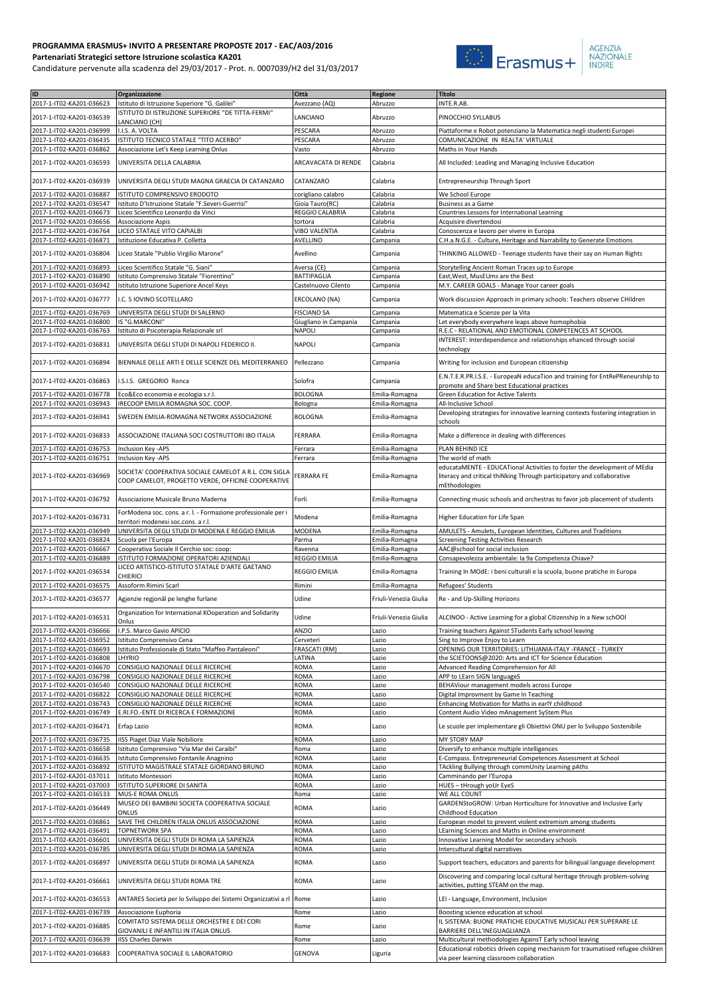## **PROGRAMMA ERASMUS+ INVITO A PRESENTARE PROPOSTE 2017 - EAC/A03/2016 Partenariati Strategici settore Istruzione scolastica KA201**

Candidature pervenute alla scadenza del 29/03/2017 - Prot. n. 0007039/H2 del 31/03/2017



| ID                                                   | Organizzazione                                                                                              | Città                           | Regione                          | <b>Titolo</b>                                                                                                                   |
|------------------------------------------------------|-------------------------------------------------------------------------------------------------------------|---------------------------------|----------------------------------|---------------------------------------------------------------------------------------------------------------------------------|
| 2017-1-IT02-KA201-036623                             | Istituto di Istruzione Superiore "G. Galilei"                                                               | Avezzano (AQ)                   | Abruzzo                          | INTE.R.AB.                                                                                                                      |
| 2017-1-IT02-KA201-036539                             | ISTITUTO DI ISTRUZIONE SUPERIORE "DE TITTA-FERMI"<br>LANCIANO (CH)                                          | LANCIANO                        | Abruzzo                          | PINOCCHIO SYLLABUS                                                                                                              |
| 2017-1-IT02-KA201-036999                             | I.I.S. A. VOLTA                                                                                             | PESCARA                         | Abruzzo                          | Piattaforme e Robot potenziano la Matematica negli studenti Europei                                                             |
| 2017-1-IT02-KA201-036435                             | ISTITUTO TECNICO STATALE "TITO ACERBO"                                                                      | PESCARA                         | Abruzzo                          | COMUNICAZIONE IN REALTA' VIRTUALE                                                                                               |
| 2017-1-IT02-KA201-036862                             | Associazione Let's Keep Learning Onlus                                                                      | Vasto                           | Abruzzo                          | Maths in Your Hands                                                                                                             |
| 2017-1-IT02-KA201-036593                             | UNIVERSITA DELLA CALABRIA                                                                                   | <b>ARCAVACATA DI RENDE</b>      | Calabria                         | All Included: Leading and Managing Inclusive Education                                                                          |
| 2017-1-IT02-KA201-036939                             | UNIVERSITA DEGLI STUDI MAGNA GRAECIA DI CATANZARO                                                           | CATANZARO                       | Calabria                         | Entrepreneurship Through Sport                                                                                                  |
| 2017-1-IT02-KA201-036887                             | ISTITUTO COMPRENSIVO ERODOTO                                                                                | corigliano calabro              | Calabria                         | We School Europe                                                                                                                |
| 2017-1-IT02-KA201-036547                             | Istituto D'Istruzione Statale "F.Severi-Guerrisi"                                                           | Gioia Tauro(RC)                 | Calabria                         | Business as a Game                                                                                                              |
| 2017-1-IT02-KA201-036673                             | Liceo Scientifico Leonardo da Vinci                                                                         | REGGIO CALABRIA                 | Calabria                         | Countries Lessons for International Learning                                                                                    |
| 2017-1-IT02-KA201-036656<br>2017-1-IT02-KA201-036764 | Associazione Aspis<br>LICEO STATALE VITO CAPIALBI                                                           | tortora<br>VIBO VALENTIA        | Calabria<br>Calabria             | Acquisire divertendosi<br>Conoscenza e lavoro per vivere in Europa                                                              |
| 2017-1-IT02-KA201-036871                             | Istituzione Educativa P. Colletta                                                                           | AVELLINO                        | Campania                         | C.H.a.N.G.E. - Culture, Heritage and Narrability to Generate Emotions                                                           |
| 2017-1-IT02-KA201-036804                             | Liceo Statale "Publio Virgilio Marone"                                                                      | Avellino                        | Campania                         | THINKING ALLOWED - Teenage students have their say on Human Rights                                                              |
| 2017-1-IT02-KA201-036893                             | Liceo Scientifico Statale "G. Siani"                                                                        | Aversa (CE)                     | Campania                         | Storytelling Ancient Roman Traces up to Europe                                                                                  |
| 2017-1-IT02-KA201-036890                             | Istituto Comprensivo Statale "Fiorentino'                                                                   | <b>BATTIPAGLIA</b>              | Campania                         | East, West, MusEUms are the Best                                                                                                |
| 2017-1-IT02-KA201-036942                             | Istituto Istruzione Superiore Ancel Keys                                                                    | Castelnuovo Cilento             | Campania                         | M.Y. CAREER GOALS - Manage Your career goals                                                                                    |
| 2017-1-IT02-KA201-036777                             | I.C. 5 IOVINO SCOTELLARO                                                                                    | ERCOLANO (NA)                   | Campania                         | Work discussion Approach in primary schools: Teachers observe CHildren                                                          |
| 2017-1-IT02-KA201-036769                             | UNIVERSITA DEGLI STUDI DI SALERNO                                                                           | <b>FISCIANO SA</b>              | Campania                         | Matematica e Scienze per la Vita                                                                                                |
| 2017-1-IT02-KA201-036800                             | IS "G.MARCONI"                                                                                              | Giugliano in Campania           | Campania                         | Let everybody everywhere leaps above homophobia                                                                                 |
| 2017-1-IT02-KA201-036763                             | Istituto di Psicoterapia Relazionale srl                                                                    | <b>NAPOLI</b>                   | Campania                         | R.E.C - RELATIONAL AND EMOTIONAL COMPETENCES AT SCHOOL                                                                          |
| 2017-1-IT02-KA201-036831                             | UNIVERSITA DEGLI STUDI DI NAPOLI FEDERICO II.                                                               | <b>NAPOLI</b>                   | Campania                         | INTEREST: Interdependence and relationships ehanced through social                                                              |
|                                                      |                                                                                                             |                                 |                                  | technology                                                                                                                      |
| 2017-1-IT02-KA201-036894                             | BIENNALE DELLE ARTI E DELLE SCIENZE DEL MEDITERRANEO                                                        | Pellezzano                      | Campania                         | Writing for inclusion and European citizenship<br>E.N.T.E.R.PR.I.S.E. - EuropeaN educaTion and training for EntRePReneurshIp to |
| 2017-1-IT02-KA201-036863                             | I.S.I.S. GREGORIO Ronca                                                                                     | Solofra                         | Campania                         | promote and Share best Educational practices                                                                                    |
| 2017-1-IT02-KA201-036778<br>2017-1-IT02-KA201-036943 | Eco&Eco economia e ecologia s.r.l.<br>IRECOOP EMILIA ROMAGNA SOC. COOP.                                     | BOLOGNA<br>Bologna              | Emilia-Romagna<br>Emilia-Romagna | Green Education for Active Talents<br>All-Inclusive School                                                                      |
| 2017-1-IT02-KA201-036941                             | SWEDEN EMILIA-ROMAGNA NETWORK ASSOCIAZIONE                                                                  | <b>BOLOGNA</b>                  | Emilia-Romagna                   | Developing strategies for innovative learning contexts fostering integration in<br>schools                                      |
| 2017-1-IT02-KA201-036833                             | ASSOCIAZIONE ITALIANA SOCI COSTRUTTORI IBO ITALIA                                                           | FERRARA                         | Emilia-Romagna                   | Make a difference in dealing with differences                                                                                   |
| 2017-1-IT02-KA201-036753                             | Inclusion Key -APS                                                                                          | Ferrara                         | Emilia-Romagna                   | PLAN BEHIND ICE                                                                                                                 |
| 2017-1-IT02-KA201-036751                             | Inclusion Key - APS                                                                                         | Ferrara                         | Emilia-Romagna                   | The world of math<br>educataMENTE - EDUCATional Activities to foster the development of MEdia                                   |
| 2017-1-IT02-KA201-036969                             | SOCIETA' COOPERATIVA SOCIALE CAMELOT A R.L. CON SIGLA<br>COOP CAMELOT, PROGETTO VERDE, OFFICINE COOPERATIVE | FERRARA FE                      | Emilia-Romagna                   | literacy and critical thiNking Through participatory and collaborative<br>mEthodologies                                         |
| 2017-1-IT02-KA201-036792                             | Associazione Musicale Bruno Maderna                                                                         | Forli                           | Emilia-Romagna                   | Connecting music schools and orchestras to favor job placement of students                                                      |
| 2017-1-IT02-KA201-036731                             | ForModena soc. cons. a r. l. - Formazione professionale per i<br>territori modenesi soc.cons. a r.l.        | Modena                          | Emilia-Romagna                   | Higher Education for Life Span                                                                                                  |
| 2017-1-IT02-KA201-036949                             | UNIVERSITA DEGLI STUDI DI MODENA E REGGIO EMILIA                                                            | MODENA                          | Emilia-Romagna                   | AMULETS - Amulets, European Identities, Cultures and Traditions                                                                 |
| 2017-1-IT02-KA201-036824                             | Scuola per l'Europa                                                                                         | Parma                           | Emilia-Romagna                   | Screening Testing Activities Research                                                                                           |
| 2017-1-IT02-KA201-036667<br>2017-1-IT02-KA201-036889 | Cooperativa Sociale Il Cerchio soc: coop:<br>ISTITUTO FORMAZIONE OPERATORI AZIENDALI                        | Ravenna<br><b>REGGIO EMILIA</b> | Emilia-Romagna<br>Emilia-Romagna | AAC@school for social inclusion<br>Consapevolezza ambientale: la 9a Competenza Chiave?                                          |
|                                                      | LICEO ARTISTICO-ISTITUTO STATALE D'ARTE GAETANO                                                             |                                 |                                  |                                                                                                                                 |
| 2017-1-IT02-KA201-036534                             | <b>CHIERICI</b>                                                                                             | REGGIO EMILIA                   | Emilia-Romagna                   | Training In MOdE: i beni culturali e la scuola, buone pratiche in Europa                                                        |
| 2017-1-IT02-KA201-036575                             | Assoform Rimini Scarl                                                                                       | Rimini                          | Emilia-Romagna                   | Refugees' Students                                                                                                              |
| 2017-1-IT02-KA201-036577                             | Agjenzie regjonâl pe lenghe furlane                                                                         | Udine                           | Friuli-Venezia Giulia            | Re - and Up-Skilling Horizons                                                                                                   |
| 2017-1-IT02-KA201-036531                             | Organization for International KOoperation and Solidarity                                                   | Udine                           | Friuli-Venezia Giulia            | ALCINOO - Active Learning for a global Citizenship In a New schOOI                                                              |
| 2017-1-IT02-KA201-036666                             | Onlus<br>I.P.S. Marco Gavio APICIO                                                                          | ANZIO                           | Lazio                            | Training teachers Against STudents Early school leaving                                                                         |
| 2017-1-IT02-KA201-036952                             | Istituto Comprensivo Cena                                                                                   | Cerveteri                       | Lazio                            | Sing to Improve Enjoy to Learn                                                                                                  |
| 2017-1-IT02-KA201-036693                             | Istituto Professionale di Stato "Maffeo Pantaleoni"                                                         | FRASCATI (RM)                   | azio                             | OPENING OUR TERRITORIES: LITHUANIA-ITALY -FRANCE - TURKEY                                                                       |
| 2017-1-IT02-KA201-036808                             | LHYRIO<br>CONSIGLIO NAZIONALE DELLE RICERCHE                                                                | LATINA                          | Lazio                            | the SCIETOONS@2020: Arts and ICT for Science Education                                                                          |
| 2017-1-IT02-KA201-036670<br>2017-1-IT02-KA201-036798 | CONSIGLIO NAZIONALE DELLE RICERCHE                                                                          | ROMA<br>ROMA                    | Lazio<br>Lazio                   | Advanced Reading Comprehension for All<br>APP to LEarn SIGN languageS                                                           |
| 2017-1-IT02-KA201-036540                             | CONSIGLIO NAZIONALE DELLE RICERCHE                                                                          | ROMA                            | Lazio                            | BEHAViour management models across Europe                                                                                       |
| 2017-1-IT02-KA201-036822                             | CONSIGLIO NAZIONALE DELLE RICERCHE                                                                          | ROMA                            | .azio                            | Digital Improvment by Game In Teaching                                                                                          |
| 2017-1-IT02-KA201-036743                             | CONSIGLIO NAZIONALE DELLE RICERCHE                                                                          | ROMA                            | Lazio                            | Enhancing Motivation for Maths in earlY childhood                                                                               |
| 2017-1-IT02-KA201-036749                             | E.RI.FO.-ENTE DI RICERCA E FORMAZIONE                                                                       | ROMA                            | azio                             | Content Audio Video mAnagement SyStem Plus                                                                                      |
| 2017-1-IT02-KA201-036471                             | Erfap Lazio                                                                                                 | ROMA                            | Lazio                            | Le scuole per implementare gli Obiettivi ONU per lo Sviluppo Sostenibile                                                        |
| 2017-1-IT02-KA201-036735<br>2017-1-IT02-KA201-036658 | <b>IISS Piaget Diaz Viale Nobiliore</b>                                                                     | <b>ROMA</b>                     | Lazio                            | MY STORY MAP<br>Diversify to enhance multiple intelligences                                                                     |
| 2017-1-IT02-KA201-036635                             | Istituto Comprensivo "Via Mar dei Caraibi"<br>Istituto Comprensivo Fontanile Anagnino                       | Roma<br>ROMA                    | Lazio<br>Lazio                   | E-Compass. Entrepreneurial Competences Assessment at School                                                                     |
| 2017-1-IT02-KA201-036892                             | ISTITUTO MAGISTRALE STATALE GIORDANO BRUNO                                                                  | ROMA                            | azio                             | TAckling Bullying through commUnity Learning pAths                                                                              |
| 2017-1-IT02-KA201-037011                             | Istituto Montessori                                                                                         | ROMA                            | Lazio                            | Camminando per l'Europa                                                                                                         |
| 2017-1-IT02-KA201-037003                             | ISTITUTO SUPERIORE DI SANITA                                                                                | ROMA                            | Lazio                            | HUES - tHrough yoUr EyeS                                                                                                        |
| 2017-1-IT02-KA201-036533                             | MUS-E ROMA ONLUS                                                                                            | Roma                            | Lazio                            | WE ALL COUNT                                                                                                                    |
| 2017-1-IT02-KA201-036449                             | MUSEO DEI BAMBINI SOCIETA COOPERATIVA SOCIALE<br>ONLUS                                                      | ROMA                            | Lazio                            | GARDENStoGROW: Urban Horticulture for Innovative and Inclusive Early<br>Childhood Education                                     |
| 2017-1-IT02-KA201-036861                             | SAVE THE CHILDREN ITALIA ONLUS ASSOCIAZIONE                                                                 | ROMA                            | Lazio                            | European model to prevent violent extremism among students                                                                      |
| 2017-1-IT02-KA201-036491                             | <b>TOPNETWORK SPA</b>                                                                                       | ROMA                            | Lazio                            | LEarning Sciences and Maths in Online environment                                                                               |
| 2017-1-IT02-KA201-036601                             | UNIVERSITA DEGLI STUDI DI ROMA LA SAPIENZA                                                                  | ROMA                            | Lazio                            | Innovative Learning Model for secondary schools                                                                                 |
| 2017-1-IT02-KA201-036785<br>2017-1-IT02-KA201-036897 | UNIVERSITA DEGLI STUDI DI ROMA LA SAPIENZA<br>UNIVERSITA DEGLI STUDI DI ROMA LA SAPIENZA                    | ROMA<br>ROMA                    | Lazio<br>Lazio                   | Intercultural digital narratives<br>Support teachers, educators and parents for bilingual language development                  |
| 2017-1-IT02-KA201-036661                             | UNIVERSITA DEGLI STUDI ROMA TRE                                                                             | ROMA                            | Lazio                            | Discovering and comparing local cultural heritage through problem-solving                                                       |
|                                                      |                                                                                                             |                                 |                                  | activities, putting STEAM on the map.                                                                                           |
| 2017-1-IT02-KA201-036553<br>2017-1-IT02-KA201-036739 | ANTARES Società per lo Sviluppo dei Sistemi Organizzativi a rl Rome<br>Associazione Euphoria                | Rome                            | Lazio<br>Lazio                   | LEI - Language, Environment, Inclusion<br>Boosting science education at school                                                  |
|                                                      | COMITATO SISTEMA DELLE ORCHESTRE E DEI CORI                                                                 |                                 |                                  | IL SISTEMA: BUONE PRATICHE EDUCATIVE MUSICALI PER SUPERARE LE                                                                   |
| 2017-1-IT02-KA201-036885                             | GIOVANILI E INFANTILI IN ITALIA ONLUS                                                                       | Rome                            | Lazio                            | BARRIERE DELL'INEGUAGLIANZA                                                                                                     |
| 2017-1-IT02-KA201-036639                             | <b>IISS Charles Darwin</b>                                                                                  | Rome                            | Lazio                            | Multicultural methodologies AgainsT Early school leaving                                                                        |
| 2017-1-IT02-KA201-036683                             | COOPERATIVA SOCIALE IL LABORATORIO                                                                          | <b>GENOVA</b>                   | Liguria                          | Educational robotics driven coping mechanism for traumatised refugee children<br>via peer learning classroom collaboration      |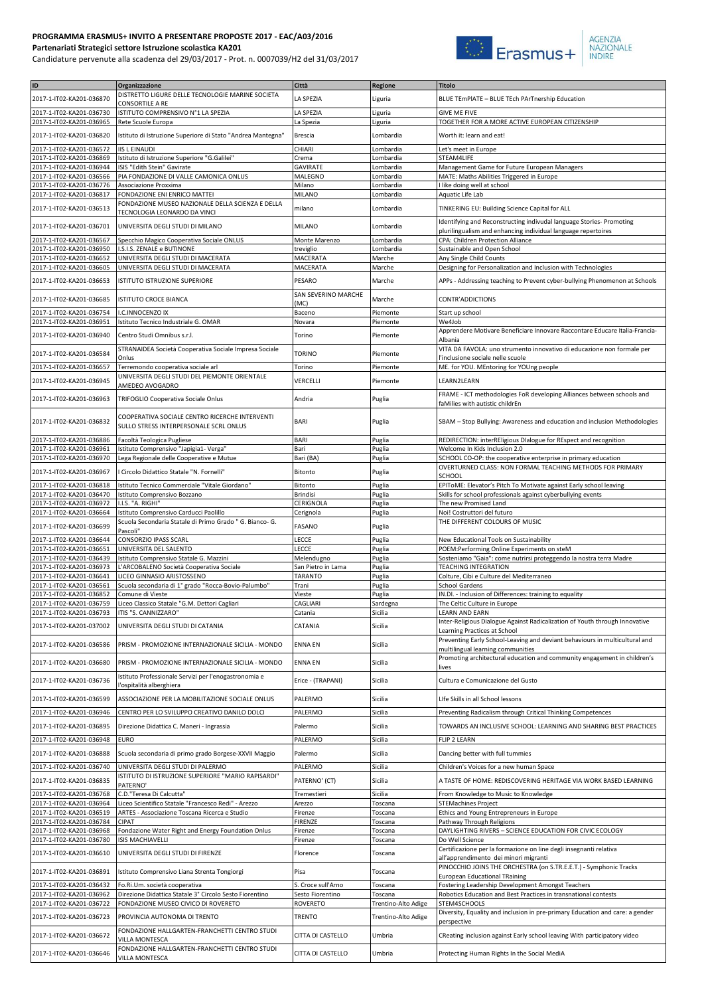## **PROGRAMMA ERASMUS+ INVITO A PRESENTARE PROPOSTE 2017 - EAC/A03/2016 Partenariati Strategici settore Istruzione scolastica KA201**

Candidature pervenute alla scadenza del 29/03/2017 - Prot. n. 0007039/H2 del 31/03/2017



| ID                                                   | Organizzazione                                                                         | Città                         | Regione                | <b>Titolo</b>                                                                                                                         |
|------------------------------------------------------|----------------------------------------------------------------------------------------|-------------------------------|------------------------|---------------------------------------------------------------------------------------------------------------------------------------|
| 2017-1-IT02-KA201-036870                             | DISTRETTO LIGURE DELLE TECNOLOGIE MARINE SOCIETA<br>CONSORTILE A RE                    | LA SPEZIA                     | Liguria                | BLUE TEmPIATE - BLUE TEch PArTnership Education                                                                                       |
| 2017-1-IT02-KA201-036730                             | ISTITUTO COMPRENSIVO Nº1 LA SPEZIA                                                     | LA SPEZIA                     | Liguria                | <b>GIVE ME FIVE</b>                                                                                                                   |
| 2017-1-IT02-KA201-036965                             | Rete Scuole Europa                                                                     | La Spezia                     | Liguria                | TOGETHER FOR A MORE ACTIVE EUROPEAN CITIZENSHIP                                                                                       |
| 2017-1-IT02-KA201-036820                             | Istituto di Istruzione Superiore di Stato "Andrea Mantegna"                            | <b>Brescia</b>                | Lombardia              | Worth it: learn and eat!                                                                                                              |
| 2017-1-IT02-KA201-036572                             | <b>IIS L EINAUDI</b>                                                                   | CHIARI                        | Lombardia              | Let's meet in Europe                                                                                                                  |
| 2017-1-IT02-KA201-036869                             | Istituto di Istruzione Superiore "G.Galilei"                                           | Crema                         | Lombardia              | STEAM4LIFE                                                                                                                            |
| 2017-1-IT02-KA201-036944                             | ISIS "Edith Stein" Gavirate                                                            | GAVIRATE                      | Lombardia              | Management Game for Future European Managers                                                                                          |
| 2017-1-IT02-KA201-036566                             | PIA FONDAZIONE DI VALLE CAMONICA ONLUS                                                 | MALEGNO                       | Lombardia              | MATE: Maths Abilities Triggered in Europe                                                                                             |
| 2017-1-IT02-KA201-036776<br>2017-1-IT02-KA201-036817 | Associazione Proxxima<br>FONDAZIONE ENI ENRICO MATTEI                                  | Milano<br>MILANO              | Lombardia<br>Lombardia | I like doing well at school<br>Aquatic Life Lab                                                                                       |
| 2017-1-IT02-KA201-036513                             | FONDAZIONE MUSEO NAZIONALE DELLA SCIENZA E DELLA                                       | milano                        |                        |                                                                                                                                       |
|                                                      | TECNOLOGIA LEONARDO DA VINCI                                                           |                               | Lombardia              | TINKERING EU: Building Science Capital for ALL                                                                                        |
| 2017-1-IT02-KA201-036701                             | UNIVERSITA DEGLI STUDI DI MILANO                                                       | MILANO                        | Lombardia              | Identifying and Reconstructing indivudal language Stories- Promoting<br>plurilingualism and enhancing individual language repertoires |
| 2017-1-IT02-KA201-036567                             | Specchio Magico Cooperativa Sociale ONLUS                                              | Monte Marenzo                 | Lombardia              | CPA: Children Protection Alliance                                                                                                     |
| 2017-1-IT02-KA201-036950                             | I.S.I.S. ZENALE e BUTINONE                                                             | treviglio                     | Lombardia              | Sustainable and Open School                                                                                                           |
| 2017-1-IT02-KA201-036652<br>2017-1-IT02-KA201-036605 | UNIVERSITA DEGLI STUDI DI MACERATA<br>UNIVERSITA DEGLI STUDI DI MACERATA               | MACERATA<br>MACERATA          | Marche<br>Marche       | Any Single Child Counts<br>Designing for Personalization and Inclusion with Technologies                                              |
|                                                      |                                                                                        |                               |                        |                                                                                                                                       |
| 2017-1-IT02-KA201-036653                             | ISTITUTO ISTRUZIONE SUPERIORE                                                          | PESARO                        | Marche                 | APPs - Addressing teaching to Prevent cyber-bullying Phenomenon at Schools                                                            |
| 2017-1-IT02-KA201-036685                             | <b>ISTITUTO CROCE BIANCA</b>                                                           | SAN SEVERINO MARCHE<br>(MC)   | Marche                 | <b>CONTR'ADDICTIONS</b>                                                                                                               |
| 2017-1-IT02-KA201-036754                             | .C.INNOCENZO IX                                                                        | Baceno                        | Piemonte               | Start up school                                                                                                                       |
| 2017-1-IT02-KA201-036951                             | Istituto Tecnico Industriale G. OMAR                                                   | Novara                        | Piemonte               | We4Job                                                                                                                                |
| 2017-1-IT02-KA201-036940                             | Centro Studi Omnibus s.r.l.                                                            | Torino                        | Piemonte               | Apprendere Motivare Beneficiare Innovare Raccontare Educare Italia-Francia-                                                           |
|                                                      | STRANAIDEA Società Cooperativa Sociale Impresa Sociale                                 |                               |                        | Albania<br>VITA DA FAVOLA: uno strumento innovativo di educazione non formale per                                                     |
| 2017-1-IT02-KA201-036584                             | Onlus                                                                                  | Torino                        | Piemonte               | l'inclusione sociale nelle scuole                                                                                                     |
| 2017-1-IT02-KA201-036657                             | Terremondo cooperativa sociale arl                                                     | Torino                        | Piemonte               | ME. for YOU. MEntoring for YOUng people                                                                                               |
| 2017-1-IT02-KA201-036945                             | UNIVERSITA DEGLI STUDI DEL PIEMONTE ORIENTALE<br>AMEDEO AVOGADRO                       | VERCELLI                      | Piemonte               | LEARN2LEARN                                                                                                                           |
|                                                      |                                                                                        | Andria                        |                        | FRAME - ICT methodologies FoR developing Alliances between schools and                                                                |
| 2017-1-IT02-KA201-036963                             | TRIFOGLIO Cooperativa Sociale Onlus                                                    |                               | Puglia                 | faMilies with autistic childrEn                                                                                                       |
| 2017-1-IT02-KA201-036832                             | COOPERATIVA SOCIALE CENTRO RICERCHE INTERVENTI                                         | <b>BARI</b>                   | Puglia                 | SBAM - Stop Bullying: Awareness and education and inclusion Methodologies                                                             |
|                                                      | SULLO STRESS INTERPERSONALE SCRL ONLUS                                                 |                               |                        |                                                                                                                                       |
| 2017-1-IT02-KA201-036886                             | Facoltà Teologica Pugliese                                                             | <b>BARI</b>                   | Puglia                 | REDIRECTION: interREligious DIalogue for REspect and recognition                                                                      |
| 2017-1-IT02-KA201-036961                             | Istituto Comprensivo "Japigia1- Verga"                                                 | Bari                          | Puglia                 | Welcome In Kids Inclusion 2.0                                                                                                         |
| 2017-1-IT02-KA201-036970                             | Lega Regionale delle Cooperative e Mutue                                               | Bari (BA)                     | Puglia                 | SCHOOL CO-OP: the cooperative enterprise in primary education                                                                         |
| 2017-1-IT02-KA201-036967                             | I Circolo Didattico Statale "N. Fornelli"                                              | Bitonto                       | Puglia                 | OVERTURNED CLASS: NON FORMAL TEACHING METHODS FOR PRIMARY<br>SCHOOL                                                                   |
| 2017-1-IT02-KA201-036818                             | Istituto Tecnico Commerciale "Vitale Giordano"                                         | Bitonto                       | Puglia                 | EPIToME: Elevator's Pitch To Motivate against Early school leaving                                                                    |
| 2017-1-IT02-KA201-036470                             | Istituto Comprensivo Bozzano                                                           | <b>Brindisi</b>               | Puglia                 | Skills for school professionals against cyberbullying events                                                                          |
| 2017-1-IT02-KA201-036972                             | I.I.S. "A. RIGHI"                                                                      | CERIGNOLA                     | Puglia                 | The new Promised Land                                                                                                                 |
| 2017-1-IT02-KA201-036664                             | Istituto Comprensivo Carducci Paolillo                                                 | Cerignola                     | Puglia                 | Noi! Costruttori del futuro                                                                                                           |
| 2017-1-IT02-KA201-036699                             | Scuola Secondaria Statale di Primo Grado " G. Bianco- G.<br>Pascoli"                   | FASANO                        | Puglia                 | THE DIFFERENT COLOURS OF MUSIC                                                                                                        |
| 2017-1-IT02-KA201-036644                             | CONSORZIO IPASS SCARL                                                                  | LECCE                         | Puglia                 | New Educational Tools on Sustainability                                                                                               |
| 2017-1-IT02-KA201-036651                             | UNIVERSITA DEL SALENTO                                                                 | LECCE                         | Puglia                 | POEM:Performing Online Experiments on steM                                                                                            |
| 2017-1-IT02-KA201-036439                             | Istituto Comprensivo Statale G. Mazzini                                                | Melendugno                    | Puglia                 | Sosteniamo "Gaia": come nutrirsi proteggendo la nostra terra Madre                                                                    |
| 2017-1-IT02-KA201-036973<br>2017-1-IT02-KA201-036641 | L'ARCOBALENO Società Cooperativa Sociale<br>LICEO GINNASIO ARISTOSSENO                 | San Pietro in Lama<br>TARANTO | Puglia<br>Puglia       | <b>TEACHING INTEGRATION</b><br>Colture, Cibi e Culture del Mediterraneo                                                               |
| 2017-1-IT02-KA201-036561                             | Scuola secondaria di 1º grado "Rocca-Bovio-Palumbo"                                    | Trani                         | Puglia                 | <b>School Gardens</b>                                                                                                                 |
| 2017-1-IT02-KA201-036852                             | Comune di Vieste                                                                       | Vieste                        | Puglia                 | IN.DI. - Inclusion of Differences: training to equality                                                                               |
| 2017-1-IT02-KA201-036759                             | Liceo Classico Statale "G.M. Dettori Cagliari                                          | CAGLIARI                      | Sardegna               | The Celtic Culture in Europe                                                                                                          |
| 2017-1-IT02-KA201-036793 ITIS "S. CANNIZZARO"        |                                                                                        | Catania                       | Sicilia                | LEARN AND EARN<br>Inter-Religious Dialogue Against Radicalization of Youth through Innovative                                         |
| 2017-1-IT02-KA201-037002                             | UNIVERSITA DEGLI STUDI DI CATANIA                                                      | CATANIA                       | Sicilia                | Learning Practices at School                                                                                                          |
| 2017-1-IT02-KA201-036586                             | PRISM - PROMOZIONE INTERNAZIONALE SICILIA - MONDO                                      | <b>ENNA EN</b>                | Sicilia                | Preventing Early School-Leaving and deviant behaviours in multicultural and                                                           |
|                                                      |                                                                                        |                               |                        | multilingual learning communities<br>Promoting architectural education and community engagement in children's                         |
| 2017-1-IT02-KA201-036680                             | PRISM - PROMOZIONE INTERNAZIONALE SICILIA - MONDO                                      | <b>ENNA EN</b>                | Sicilia                | lives                                                                                                                                 |
| 2017-1-IT02-KA201-036736                             | Istituto Professionale Servizi per l'enogastronomia e                                  | Erice - (TRAPANI)             | Sicilia                | Cultura e Comunicazione del Gusto                                                                                                     |
|                                                      | l'ospitalità alberghiera                                                               |                               |                        |                                                                                                                                       |
| 2017-1-IT02-KA201-036599                             | ASSOCIAZIONE PER LA MOBILITAZIONE SOCIALE ONLUS                                        | PALERMO                       | Sicilia                | Life Skills in all School lessons                                                                                                     |
| 2017-1-IT02-KA201-036946                             | CENTRO PER LO SVILUPPO CREATIVO DANILO DOLCI                                           | PALERMO                       | Sicilia                | Preventing Radicalism through Critical Thinking Competences                                                                           |
| 2017-1-IT02-KA201-036895                             | Direzione Didattica C. Maneri - Ingrassia                                              | Palermo                       | Sicilia                | TOWARDS AN INCLUSIVE SCHOOL: LEARNING AND SHARING BEST PRACTICES                                                                      |
| 2017-1-IT02-KA201-036948                             | <b>EURO</b>                                                                            | PALERMO                       | Sicilia                | FLIP 2 LEARN                                                                                                                          |
| 2017-1-IT02-KA201-036888                             | Scuola secondaria di primo grado Borgese-XXVII Maggio                                  | Palermo                       | Sicilia                | Dancing better with full tummies                                                                                                      |
|                                                      |                                                                                        |                               |                        |                                                                                                                                       |
| 2017-1-IT02-KA201-036740                             | UNIVERSITA DEGLI STUDI DI PALERMO<br>STITUTO DI ISTRUZIONE SUPERIORE "MARIO RAPISARDI" | PALERMO                       | Sicilia                | Children's Voices for a new human Space                                                                                               |
| 2017-1-IT02-KA201-036835                             | PATERNO'                                                                               | PATERNO' (CT)                 | Sicilia                | A TASTE OF HOME: REDISCOVERING HERITAGE VIA WORK BASED LEARNING                                                                       |
| 2017-1-IT02-KA201-036768                             | C.D."Teresa Di Calcutta"                                                               | Tremestieri                   | Sicilia                | From Knowledge to Music to Knowledge                                                                                                  |
| 2017-1-IT02-KA201-036964                             | Liceo Scientifico Statale "Francesco Redi" - Arezzo                                    | Arezzo                        | Toscana                | <b>STEMachines Project</b>                                                                                                            |
| 2017-1-IT02-KA201-036519<br>2017-1-IT02-KA201-036784 | ARTES - Associazione Toscana Ricerca e Studio<br><b>CIPAT</b>                          | Firenze<br>FIRENZE            | Toscana<br>Toscana     | Ethics and Young Entrepreneurs in Europe<br>Pathway Through Religions                                                                 |
| 2017-1-IT02-KA201-036968                             | Fondazione Water Right and Energy Foundation Onlus                                     | Firenze                       | Toscana                | DAYLIGHTING RIVERS - SCIENCE EDUCATION FOR CIVIC ECOLOGY                                                                              |
| 2017-1-IT02-KA201-036780                             | ISIS MACHIAVELLI                                                                       | Firenze                       | Toscana                | Do Well Science                                                                                                                       |
| 2017-1-IT02-KA201-036610                             | UNIVERSITA DEGLI STUDI DI FIRENZE                                                      | Florence                      | Toscana                | Certificazione per la formazione on line degli insegnanti relativa                                                                    |
|                                                      |                                                                                        |                               |                        | all'apprendimento dei minori migranti<br>PINOCCHIO JOINS THE ORCHESTRA (on S.TR.E.E.T.) - Symphonic Tracks                            |
| 2017-1-IT02-KA201-036891                             | Istituto Comprensivo Liana Strenta Tongiorgi                                           | Pisa                          | Toscana                | <b>European Educational TRaining</b>                                                                                                  |
| 2017-1-IT02-KA201-036432                             | Fo.Ri.Um. società cooperativa                                                          | S. Croce sull'Arno            | Toscana                | Fostering Leadership Development Amongst Teachers                                                                                     |
| 2017-1-IT02-KA201-036962                             | Direzione Didattica Statale 3° Circolo Sesto Fiorentino                                | Sesto Fiorentino              | Toscana                | Robotics Education and Best Practices in transnational contests                                                                       |
| 2017-1-IT02-KA201-036722                             | FONDAZIONE MUSEO CIVICO DI ROVERETO                                                    | ROVERETO                      | Trentino-Alto Adige    | STEM4SCHOOLS<br>Diversity, Equality and inclusion in pre-primary Education and care: a gender                                         |
| 2017-1-IT02-KA201-036723                             | PROVINCIA AUTONOMA DI TRENTO                                                           | <b>TRENTO</b>                 | Trentino-Alto Adige    | perspective                                                                                                                           |
| 2017-1-IT02-KA201-036672                             | FONDAZIONE HALLGARTEN-FRANCHETTI CENTRO STUDI                                          | CITTA DI CASTELLO             | Umbria                 | CReating inclusion against Early school leaving With participatory video                                                              |
|                                                      | <b>VILLA MONTESCA</b><br>FONDAZIONE HALLGARTEN-FRANCHETTI CENTRO STUDI                 |                               |                        |                                                                                                                                       |
| 2017-1-IT02-KA201-036646                             | <b>VILLA MONTESCA</b>                                                                  | CITTA DI CASTELLO             | Umbria                 | Protecting Human Rights In the Social MediA                                                                                           |